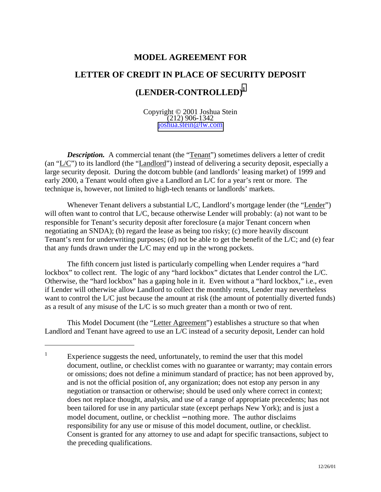### **MODEL AGREEMENT FOR**

# **LETTER OF CREDIT IN PLACE OF SECURITY DEPOSIT (LENDER-CONTROLLED)1**

Copyright © 2001 Joshua Stein (212) 906-1342 [joshua.stein@lw.com](mailto:joshua.stein@lw.com)

**Description.** A commercial tenant (the "Tenant") sometimes delivers a letter of credit (an "L/C") to its landlord (the "Landlord") instead of delivering a security deposit, especially a large security deposit. During the dotcom bubble (and landlords' leasing market) of 1999 and early 2000, a Tenant would often give a Landlord an L/C for a year's rent or more. The technique is, however, not limited to high-tech tenants or landlords' markets.

Whenever Tenant delivers a substantial L/C, Landlord's mortgage lender (the "Lender") will often want to control that L/C, because otherwise Lender will probably: (a) not want to be responsible for Tenant's security deposit after foreclosure (a major Tenant concern when negotiating an SNDA); (b) regard the lease as being too risky; (c) more heavily discount Tenant's rent for underwriting purposes; (d) not be able to get the benefit of the L/C; and (e) fear that any funds drawn under the L/C may end up in the wrong pockets.

The fifth concern just listed is particularly compelling when Lender requires a "hard lockbox" to collect rent. The logic of any "hard lockbox" dictates that Lender control the L/C. Otherwise, the "hard lockbox" has a gaping hole in it. Even without a "hard lockbox," i.e., even if Lender will otherwise allow Landlord to collect the monthly rents, Lender may nevertheless want to control the L/C just because the amount at risk (the amount of potentially diverted funds) as a result of any misuse of the L/C is so much greater than a month or two of rent.

This Model Document (the "Letter Agreement") establishes a structure so that when Landlord and Tenant have agreed to use an L/C instead of a security deposit, Lender can hold

<sup>1</sup> Experience suggests the need, unfortunately, to remind the user that this model document, outline, or checklist comes with no guarantee or warranty; may contain errors or omissions; does not define a minimum standard of practice; has not been approved by, and is not the official position of, any organization; does not estop any person in any negotiation or transaction or otherwise; should be used only where correct in context; does not replace thought, analysis, and use of a range of appropriate precedents; has not been tailored for use in any particular state (except perhaps New York); and is just a model document, outline, or checklist − nothing more. The author disclaims responsibility for any use or misuse of this model document, outline, or checklist. Consent is granted for any attorney to use and adapt for specific transactions, subject to the preceding qualifications.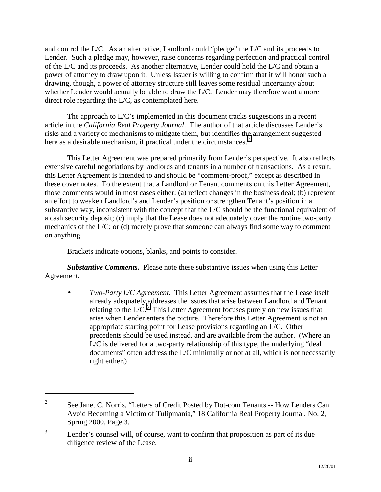and control the L/C. As an alternative, Landlord could "pledge" the L/C and its proceeds to Lender. Such a pledge may, however, raise concerns regarding perfection and practical control of the L/C and its proceeds. As another alternative, Lender could hold the L/C and obtain a power of attorney to draw upon it. Unless Issuer is willing to confirm that it will honor such a drawing, though, a power of attorney structure still leaves some residual uncertainty about whether Lender would actually be able to draw the L/C. Lender may therefore want a more direct role regarding the L/C, as contemplated here.

The approach to L/C's implemented in this document tracks suggestions in a recent article in the *California Real Property Journal*. The author of that article discusses Lender's risks and a variety of mechanisms to mitigate them, but identifies the arrangement suggested here as a desirable mechanism, if practical under the circumstances. $<sup>2</sup>$ </sup>

This Letter Agreement was prepared primarily from Lender's perspective. It also reflects extensive careful negotiations by landlords and tenants in a number of transactions. As a result, this Letter Agreement is intended to and should be "comment-proof," except as described in these cover notes. To the extent that a Landlord or Tenant comments on this Letter Agreement, those comments would in most cases either: (a) reflect changes in the business deal; (b) represent an effort to weaken Landlord's and Lender's position or strengthen Tenant's position in a substantive way, inconsistent with the concept that the L/C should be the functional equivalent of a cash security deposit; (c) imply that the Lease does not adequately cover the routine two-party mechanics of the L/C; or (d) merely prove that someone can always find some way to comment on anything.

Brackets indicate options, blanks, and points to consider.

 $\overline{a}$ 

*Substantive Comments.* Please note these substantive issues when using this Letter Agreement.

• *Two-Party L/C Agreement.* This Letter Agreement assumes that the Lease itself already adequately addresses the issues that arise between Landlord and Tenant relating to the  $L/C<sup>3</sup>$ . This Letter Agreement focuses purely on new issues that arise when Lender enters the picture. Therefore this Letter Agreement is not an appropriate starting point for Lease provisions regarding an L/C. Other precedents should be used instead, and are available from the author. (Where an L/C is delivered for a two-party relationship of this type, the underlying "deal documents" often address the L/C minimally or not at all, which is not necessarily right either.)

<sup>2</sup> See Janet C. Norris, "Letters of Credit Posted by Dot-com Tenants -- How Lenders Can Avoid Becoming a Victim of Tulipmania," 18 California Real Property Journal, No. 2, Spring 2000, Page 3.

<sup>3</sup> Lender's counsel will, of course, want to confirm that proposition as part of its due diligence review of the Lease.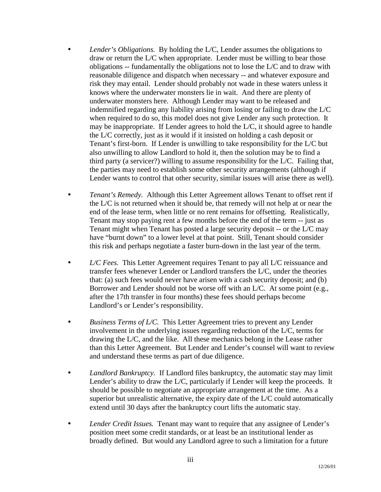- *Lender's Obligations.* By holding the L/C, Lender assumes the obligations to draw or return the L/C when appropriate. Lender must be willing to bear those obligations -- fundamentally the obligations not to lose the L/C and to draw with reasonable diligence and dispatch when necessary -- and whatever exposure and risk they may entail. Lender should probably not wade in these waters unless it knows where the underwater monsters lie in wait. And there are plenty of underwater monsters here. Although Lender may want to be released and indemnified regarding any liability arising from losing or failing to draw the L/C when required to do so, this model does not give Lender any such protection. It may be inappropriate. If Lender agrees to hold the L/C, it should agree to handle the L/C correctly, just as it would if it insisted on holding a cash deposit or Tenant's first-born. If Lender is unwilling to take responsibility for the L/C but also unwilling to allow Landlord to hold it, then the solution may be to find a third party (a servicer?) willing to assume responsibility for the L/C. Failing that, the parties may need to establish some other security arrangements (although if Lender wants to control that other security, similar issues will arise there as well).
- *Tenant's Remedy.* Although this Letter Agreement allows Tenant to offset rent if the L/C is not returned when it should be, that remedy will not help at or near the end of the lease term, when little or no rent remains for offsetting. Realistically, Tenant may stop paying rent a few months before the end of the term -- just as Tenant might when Tenant has posted a large security deposit -- or the L/C may have "burnt down" to a lower level at that point. Still, Tenant should consider this risk and perhaps negotiate a faster burn-down in the last year of the term.
- L/C Fees. This Letter Agreement requires Tenant to pay all L/C reissuance and transfer fees whenever Lender or Landlord transfers the L/C, under the theories that: (a) such fees would never have arisen with a cash security deposit; and (b) Borrower and Lender should not be worse off with an L/C. At some point (e.g., after the 17th transfer in four months) these fees should perhaps become Landlord's or Lender's responsibility.
- *Business Terms of L/C.* This Letter Agreement tries to prevent any Lender involvement in the underlying issues regarding reduction of the L/C, terms for drawing the L/C, and the like. All these mechanics belong in the Lease rather than this Letter Agreement. But Lender and Lender's counsel will want to review and understand these terms as part of due diligence.
- *Landlord Bankruptcy*. If Landlord files bankruptcy, the automatic stay may limit Lender's ability to draw the L/C, particularly if Lender will keep the proceeds. It should be possible to negotiate an appropriate arrangement at the time. As a superior but unrealistic alternative, the expiry date of the L/C could automatically extend until 30 days after the bankruptcy court lifts the automatic stay.
- *Lender Credit Issues.* Tenant may want to require that any assignee of Lender's position meet some credit standards, or at least be an institutional lender as broadly defined. But would any Landlord agree to such a limitation for a future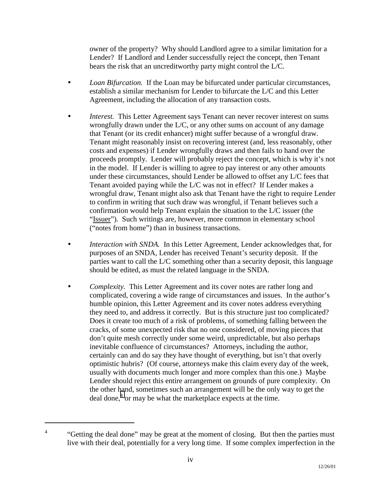owner of the property? Why should Landlord agree to a similar limitation for a Lender? If Landlord and Lender successfully reject the concept, then Tenant bears the risk that an uncreditworthy party might control the L/C.

- *Loan Bifurcation.* If the Loan may be bifurcated under particular circumstances, establish a similar mechanism for Lender to bifurcate the L/C and this Letter Agreement, including the allocation of any transaction costs.
- *Interest.* This Letter Agreement says Tenant can never recover interest on sums wrongfully drawn under the L/C, or any other sums on account of any damage that Tenant (or its credit enhancer) might suffer because of a wrongful draw. Tenant might reasonably insist on recovering interest (and, less reasonably, other costs and expenses) if Lender wrongfully draws and then fails to hand over the proceeds promptly. Lender will probably reject the concept, which is why it's not in the model. If Lender is willing to agree to pay interest or any other amounts under these circumstances, should Lender be allowed to offset any L/C fees that Tenant avoided paying while the L/C was not in effect? If Lender makes a wrongful draw, Tenant might also ask that Tenant have the right to require Lender to confirm in writing that such draw was wrongful, if Tenant believes such a confirmation would help Tenant explain the situation to the L/C issuer (the "Issuer"). Such writings are, however, more common in elementary school ("notes from home") than in business transactions.
- *Interaction with SNDA.* In this Letter Agreement, Lender acknowledges that, for purposes of an SNDA, Lender has received Tenant's security deposit. If the parties want to call the L/C something other than a security deposit, this language should be edited, as must the related language in the SNDA.
- *Complexity.* This Letter Agreement and its cover notes are rather long and complicated, covering a wide range of circumstances and issues. In the author's humble opinion, this Letter Agreement and its cover notes address everything they need to, and address it correctly. But is this structure just too complicated? Does it create too much of a risk of problems, of something falling between the cracks, of some unexpected risk that no one considered, of moving pieces that don't quite mesh correctly under some weird, unpredictable, but also perhaps inevitable confluence of circumstances? Attorneys, including the author, certainly can and do say they have thought of everything, but isn't that overly optimistic hubris? (Of course, attorneys make this claim every day of the week, usually with documents much longer and more complex than this one.) Maybe Lender should reject this entire arrangement on grounds of pure complexity. On the other hand, sometimes such an arrangement will be the only way to get the deal done, $4$  or may be what the marketplace expects at the time.

<sup>4</sup> "Getting the deal done" may be great at the moment of closing. But then the parties must live with their deal, potentially for a very long time. If some complex imperfection in the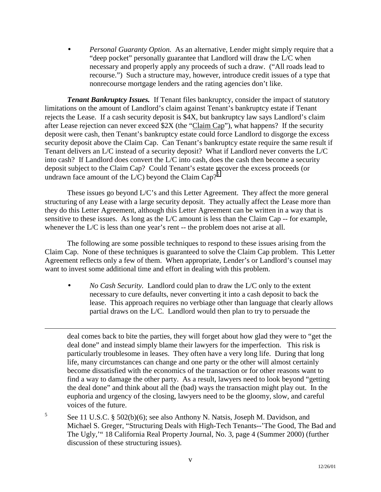• *Personal Guaranty Option.* As an alternative, Lender might simply require that a "deep pocket" personally guarantee that Landlord will draw the L/C when necessary and properly apply any proceeds of such a draw. ("All roads lead to recourse.") Such a structure may, however, introduce credit issues of a type that nonrecourse mortgage lenders and the rating agencies don't like.

*Tenant Bankruptcy Issues.* If Tenant files bankruptcy, consider the impact of statutory limitations on the amount of Landlord's claim against Tenant's bankruptcy estate if Tenant rejects the Lease. If a cash security deposit is \$4X, but bankruptcy law says Landlord's claim after Lease rejection can never exceed \$2X (the "Claim Cap"), what happens? If the security deposit were cash, then Tenant's bankruptcy estate could force Landlord to disgorge the excess security deposit above the Claim Cap. Can Tenant's bankruptcy estate require the same result if Tenant delivers an L/C instead of a security deposit? What if Landlord never converts the L/C into cash? If Landlord does convert the L/C into cash, does the cash then become a security deposit subject to the Claim Cap? Could Tenant's estate recover the excess proceeds (or undrawn face amount of the L/C) beyond the Claim Cap?<sup>5</sup>

These issues go beyond L/C's and this Letter Agreement. They affect the more general structuring of any Lease with a large security deposit. They actually affect the Lease more than they do this Letter Agreement, although this Letter Agreement can be written in a way that is sensitive to these issues. As long as the L/C amount is less than the Claim Cap -- for example, whenever the L/C is less than one year's rent -- the problem does not arise at all.

The following are some possible techniques to respond to these issues arising from the Claim Cap. None of these techniques is guaranteed to solve the Claim Cap problem. This Letter Agreement reflects only a few of them. When appropriate, Lender's or Landlord's counsel may want to invest some additional time and effort in dealing with this problem.

 $\overline{a}$ 

• *No Cash Security.* Landlord could plan to draw the L/C only to the extent necessary to cure defaults, never converting it into a cash deposit to back the lease. This approach requires no verbiage other than language that clearly allows partial draws on the L/C. Landlord would then plan to try to persuade the

deal comes back to bite the parties, they will forget about how glad they were to "get the deal done" and instead simply blame their lawyers for the imperfection. This risk is particularly troublesome in leases. They often have a very long life. During that long life, many circumstances can change and one party or the other will almost certainly become dissatisfied with the economics of the transaction or for other reasons want to find a way to damage the other party. As a result, lawyers need to look beyond "getting the deal done" and think about all the (bad) ways the transaction might play out. In the euphoria and urgency of the closing, lawyers need to be the gloomy, slow, and careful voices of the future.

5 See 11 U.S.C. § 502(b)(6); see also Anthony N. Natsis, Joseph M. Davidson, and Michael S. Greger, "Structuring Deals with High-Tech Tenants--'The Good, The Bad and The Ugly,'" 18 California Real Property Journal, No. 3, page 4 (Summer 2000) (further discussion of these structuring issues).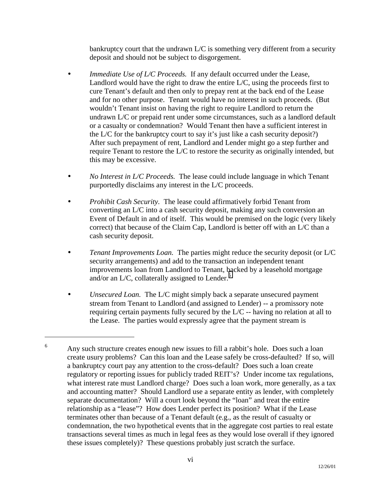bankruptcy court that the undrawn  $L/C$  is something very different from a security deposit and should not be subject to disgorgement.

- *Immediate Use of L/C Proceeds.* If any default occurred under the Lease, Landlord would have the right to draw the entire L/C, using the proceeds first to cure Tenant's default and then only to prepay rent at the back end of the Lease and for no other purpose. Tenant would have no interest in such proceeds. (But wouldn't Tenant insist on having the right to require Landlord to return the undrawn L/C or prepaid rent under some circumstances, such as a landlord default or a casualty or condemnation? Would Tenant then have a sufficient interest in the L/C for the bankruptcy court to say it's just like a cash security deposit?) After such prepayment of rent, Landlord and Lender might go a step further and require Tenant to restore the L/C to restore the security as originally intended, but this may be excessive.
- *No Interest in L/C Proceeds.* The lease could include language in which Tenant purportedly disclaims any interest in the L/C proceeds.
- *Prohibit Cash Security.* The lease could affirmatively forbid Tenant from converting an L/C into a cash security deposit, making any such conversion an Event of Default in and of itself. This would be premised on the logic (very likely correct) that because of the Claim Cap, Landlord is better off with an L/C than a cash security deposit.
- *Tenant Improvements Loan.* The parties might reduce the security deposit (or L/C security arrangements) and add to the transaction an independent tenant improvements loan from Landlord to Tenant, backed by a leasehold mortgage and/or an L/C, collaterally assigned to Lender. $<sup>6</sup>$ </sup>
- *Unsecured Loan.* The L/C might simply back a separate unsecured payment stream from Tenant to Landlord (and assigned to Lender) -- a promissory note requiring certain payments fully secured by the L/C -- having no relation at all to the Lease. The parties would expressly agree that the payment stream is

<sup>6</sup> Any such structure creates enough new issues to fill a rabbit's hole. Does such a loan create usury problems? Can this loan and the Lease safely be cross-defaulted? If so, will a bankruptcy court pay any attention to the cross-default? Does such a loan create regulatory or reporting issues for publicly traded REIT's? Under income tax regulations, what interest rate must Landlord charge? Does such a loan work, more generally, as a tax and accounting matter? Should Landlord use a separate entity as lender, with completely separate documentation? Will a court look beyond the "loan" and treat the entire relationship as a "lease"? How does Lender perfect its position? What if the Lease terminates other than because of a Tenant default (e.g., as the result of casualty or condemnation, the two hypothetical events that in the aggregate cost parties to real estate transactions several times as much in legal fees as they would lose overall if they ignored these issues completely)? These questions probably just scratch the surface.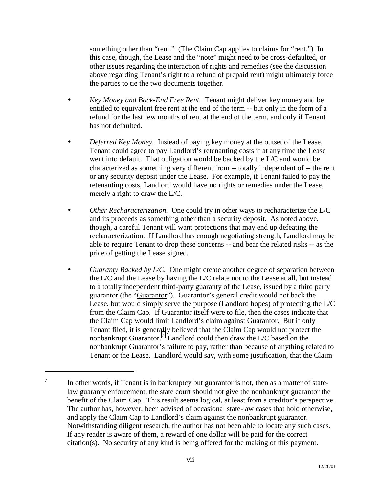something other than "rent." (The Claim Cap applies to claims for "rent.") In this case, though, the Lease and the "note" might need to be cross-defaulted, or other issues regarding the interaction of rights and remedies (see the discussion above regarding Tenant's right to a refund of prepaid rent) might ultimately force the parties to tie the two documents together.

- *Key Money and Back-End Free Rent.* Tenant might deliver key money and be entitled to equivalent free rent at the end of the term -- but only in the form of a refund for the last few months of rent at the end of the term, and only if Tenant has not defaulted.
- *Deferred Key Money.* Instead of paying key money at the outset of the Lease, Tenant could agree to pay Landlord's retenanting costs if at any time the Lease went into default. That obligation would be backed by the L/C and would be characterized as something very different from -- totally independent of -- the rent or any security deposit under the Lease. For example, if Tenant failed to pay the retenanting costs, Landlord would have no rights or remedies under the Lease, merely a right to draw the L/C.
- *Other Recharacterization.* One could try in other ways to recharacterize the L/C and its proceeds as something other than a security deposit. As noted above, though, a careful Tenant will want protections that may end up defeating the recharacterization. If Landlord has enough negotiating strength, Landlord may be able to require Tenant to drop these concerns -- and bear the related risks -- as the price of getting the Lease signed.
- *Guaranty Backed by L/C.* One might create another degree of separation between the L/C and the Lease by having the L/C relate not to the Lease at all, but instead to a totally independent third-party guaranty of the Lease, issued by a third party guarantor (the "Guarantor"). Guarantor's general credit would not back the Lease, but would simply serve the purpose (Landlord hopes) of protecting the L/C from the Claim Cap. If Guarantor itself were to file, then the cases indicate that the Claim Cap would limit Landlord's claim against Guarantor. But if only Tenant filed, it is generally believed that the Claim Cap would not protect the nonbankrupt Guarantor.<sup>7</sup> Landlord could then draw the L/C based on the nonbankrupt Guarantor's failure to pay, rather than because of anything related to Tenant or the Lease. Landlord would say, with some justification, that the Claim

<sup>7</sup> In other words, if Tenant is in bankruptcy but guarantor is not, then as a matter of statelaw guaranty enforcement, the state court should not give the nonbankrupt guarantor the benefit of the Claim Cap. This result seems logical, at least from a creditor's perspective. The author has, however, been advised of occasional state-law cases that hold otherwise, and apply the Claim Cap to Landlord's claim against the nonbankrupt guarantor. Notwithstanding diligent research, the author has not been able to locate any such cases. If any reader is aware of them, a reward of one dollar will be paid for the correct citation(s). No security of any kind is being offered for the making of this payment.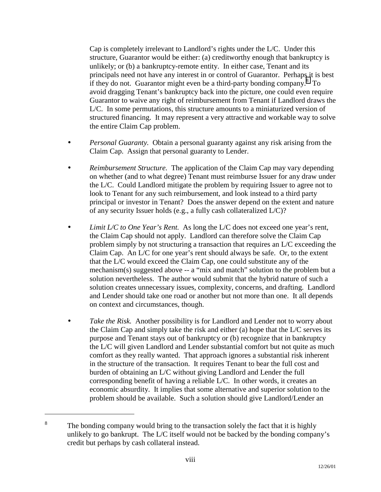Cap is completely irrelevant to Landlord's rights under the L/C. Under this structure, Guarantor would be either: (a) creditworthy enough that bankruptcy is unlikely; or (b) a bankruptcy-remote entity. In either case, Tenant and its principals need not have any interest in or control of Guarantor. Perhaps it is best if they do not. Guarantor might even be a third-party bonding company. $8\text{ To}$ avoid dragging Tenant's bankruptcy back into the picture, one could even require Guarantor to waive any right of reimbursement from Tenant if Landlord draws the L/C. In some permutations, this structure amounts to a miniaturized version of structured financing. It may represent a very attractive and workable way to solve the entire Claim Cap problem.

- *Personal Guaranty.* Obtain a personal guaranty against any risk arising from the Claim Cap. Assign that personal guaranty to Lender.
- *Reimbursement Structure.* The application of the Claim Cap may vary depending on whether (and to what degree) Tenant must reimburse Issuer for any draw under the L/C. Could Landlord mitigate the problem by requiring Issuer to agree not to look to Tenant for any such reimbursement, and look instead to a third party principal or investor in Tenant? Does the answer depend on the extent and nature of any security Issuer holds (e.g., a fully cash collateralized L/C)?
- *Limit L/C to One Year's Rent.* As long the L/C does not exceed one year's rent, the Claim Cap should not apply. Landlord can therefore solve the Claim Cap problem simply by not structuring a transaction that requires an L/C exceeding the Claim Cap. An L/C for one year's rent should always be safe. Or, to the extent that the L/C would exceed the Claim Cap, one could substitute any of the mechanism(s) suggested above -- a "mix and match" solution to the problem but a solution nevertheless. The author would submit that the hybrid nature of such a solution creates unnecessary issues, complexity, concerns, and drafting. Landlord and Lender should take one road or another but not more than one. It all depends on context and circumstances, though.
- *Take the Risk.* Another possibility is for Landlord and Lender not to worry about the Claim Cap and simply take the risk and either (a) hope that the L/C serves its purpose and Tenant stays out of bankruptcy or (b) recognize that in bankruptcy the L/C will given Landlord and Lender substantial comfort but not quite as much comfort as they really wanted. That approach ignores a substantial risk inherent in the structure of the transaction. It requires Tenant to bear the full cost and burden of obtaining an L/C without giving Landlord and Lender the full corresponding benefit of having a reliable L/C. In other words, it creates an economic absurdity. It implies that some alternative and superior solution to the problem should be available. Such a solution should give Landlord/Lender an

<sup>8</sup> The bonding company would bring to the transaction solely the fact that it is highly unlikely to go bankrupt. The L/C itself would not be backed by the bonding company's credit but perhaps by cash collateral instead.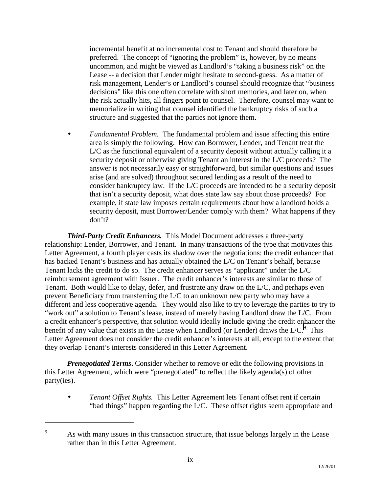incremental benefit at no incremental cost to Tenant and should therefore be preferred. The concept of "ignoring the problem" is, however, by no means uncommon, and might be viewed as Landlord's "taking a business risk" on the Lease -- a decision that Lender might hesitate to second-guess. As a matter of risk management, Lender's or Landlord's counsel should recognize that "business decisions" like this one often correlate with short memories, and later on, when the risk actually hits, all fingers point to counsel. Therefore, counsel may want to memorialize in writing that counsel identified the bankruptcy risks of such a structure and suggested that the parties not ignore them.

• *Fundamental Problem.* The fundamental problem and issue affecting this entire area is simply the following. How can Borrower, Lender, and Tenant treat the L/C as the functional equivalent of a security deposit without actually calling it a security deposit or otherwise giving Tenant an interest in the L/C proceeds? The answer is not necessarily easy or straightforward, but similar questions and issues arise (and are solved) throughout secured lending as a result of the need to consider bankruptcy law. If the L/C proceeds are intended to be a security deposit that isn't a security deposit, what does state law say about those proceeds? For example, if state law imposes certain requirements about how a landlord holds a security deposit, must Borrower/Lender comply with them? What happens if they don't?

*Third-Party Credit Enhancers.* This Model Document addresses a three-party relationship: Lender, Borrower, and Tenant. In many transactions of the type that motivates this Letter Agreement, a fourth player casts its shadow over the negotiations: the credit enhancer that has backed Tenant's business and has actually obtained the L/C on Tenant's behalf, because Tenant lacks the credit to do so. The credit enhancer serves as "applicant" under the L/C reimbursement agreement with Issuer. The credit enhancer's interests are similar to those of Tenant. Both would like to delay, defer, and frustrate any draw on the L/C, and perhaps even prevent Beneficiary from transferring the L/C to an unknown new party who may have a different and less cooperative agenda. They would also like to try to leverage the parties to try to "work out" a solution to Tenant's lease, instead of merely having Landlord draw the L/C. From a credit enhancer's perspective, that solution would ideally include giving the credit enhancer the benefit of any value that exists in the Lease when Landlord (or Lender) draws the L/C. $^9$  This Letter Agreement does not consider the credit enhancer's interests at all, except to the extent that they overlap Tenant's interests considered in this Letter Agreement.

*Prenegotiated Terms***.** Consider whether to remove or edit the following provisions in this Letter Agreement, which were "prenegotiated" to reflect the likely agenda(s) of other party(ies).

• *Tenant Offset Rights.* This Letter Agreement lets Tenant offset rent if certain "bad things" happen regarding the L/C. These offset rights seem appropriate and

<sup>9</sup> As with many issues in this transaction structure, that issue belongs largely in the Lease rather than in this Letter Agreement.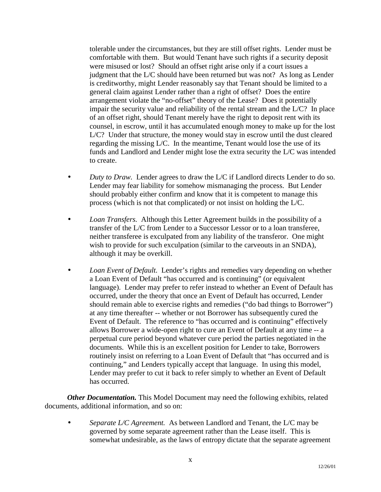tolerable under the circumstances, but they are still offset rights. Lender must be comfortable with them. But would Tenant have such rights if a security deposit were misused or lost? Should an offset right arise only if a court issues a judgment that the L/C should have been returned but was not? As long as Lender is creditworthy, might Lender reasonably say that Tenant should be limited to a general claim against Lender rather than a right of offset? Does the entire arrangement violate the "no-offset" theory of the Lease? Does it potentially impair the security value and reliability of the rental stream and the L/C? In place of an offset right, should Tenant merely have the right to deposit rent with its counsel, in escrow, until it has accumulated enough money to make up for the lost L/C? Under that structure, the money would stay in escrow until the dust cleared regarding the missing L/C. In the meantime, Tenant would lose the use of its funds and Landlord and Lender might lose the extra security the L/C was intended to create.

- *Duty to Draw.* Lender agrees to draw the L/C if Landlord directs Lender to do so. Lender may fear liability for somehow mismanaging the process. But Lender should probably either confirm and know that it is competent to manage this process (which is not that complicated) or not insist on holding the L/C.
- *Loan Transfers.* Although this Letter Agreement builds in the possibility of a transfer of the L/C from Lender to a Successor Lessor or to a loan transferee, neither transferee is exculpated from any liability of the transferor. One might wish to provide for such exculpation (similar to the carveouts in an SNDA), although it may be overkill.
- *Loan Event of Default.* Lender's rights and remedies vary depending on whether a Loan Event of Default "has occurred and is continuing" (or equivalent language). Lender may prefer to refer instead to whether an Event of Default has occurred, under the theory that once an Event of Default has occurred, Lender should remain able to exercise rights and remedies ("do bad things to Borrower") at any time thereafter -- whether or not Borrower has subsequently cured the Event of Default. The reference to "has occurred and is continuing" effectively allows Borrower a wide-open right to cure an Event of Default at any time -- a perpetual cure period beyond whatever cure period the parties negotiated in the documents. While this is an excellent position for Lender to take, Borrowers routinely insist on referring to a Loan Event of Default that "has occurred and is continuing," and Lenders typically accept that language. In using this model, Lender may prefer to cut it back to refer simply to whether an Event of Default has occurred.

*Other Documentation.* This Model Document may need the following exhibits, related documents, additional information, and so on:

• *Separate L/C Agreement.* As between Landlord and Tenant, the L/C may be governed by some separate agreement rather than the Lease itself. This is somewhat undesirable, as the laws of entropy dictate that the separate agreement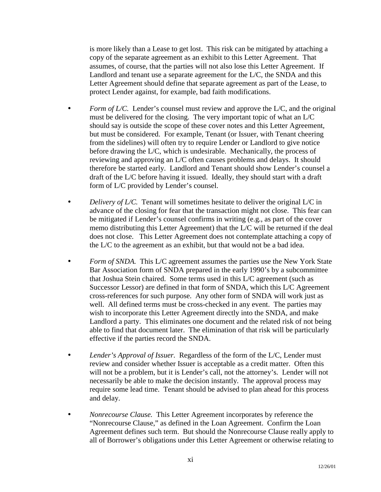is more likely than a Lease to get lost. This risk can be mitigated by attaching a copy of the separate agreement as an exhibit to this Letter Agreement. That assumes, of course, that the parties will not also lose this Letter Agreement. If Landlord and tenant use a separate agreement for the L/C, the SNDA and this Letter Agreement should define that separate agreement as part of the Lease, to protect Lender against, for example, bad faith modifications.

- *Form of L/C.* Lender's counsel must review and approve the L/C, and the original must be delivered for the closing. The very important topic of what an L/C should say is outside the scope of these cover notes and this Letter Agreement, but must be considered. For example, Tenant (or Issuer, with Tenant cheering from the sidelines) will often try to require Lender or Landlord to give notice before drawing the L/C, which is undesirable. Mechanically, the process of reviewing and approving an L/C often causes problems and delays. It should therefore be started early. Landlord and Tenant should show Lender's counsel a draft of the L/C before having it issued. Ideally, they should start with a draft form of L/C provided by Lender's counsel.
- *Delivery of L/C.* Tenant will sometimes hesitate to deliver the original L/C in advance of the closing for fear that the transaction might not close. This fear can be mitigated if Lender's counsel confirms in writing (e.g., as part of the cover memo distributing this Letter Agreement) that the L/C will be returned if the deal does not close. This Letter Agreement does not contemplate attaching a copy of the L/C to the agreement as an exhibit, but that would not be a bad idea.
- *Form of SNDA*. This L/C agreement assumes the parties use the New York State Bar Association form of SNDA prepared in the early 1990's by a subcommittee that Joshua Stein chaired. Some terms used in this L/C agreement (such as Successor Lessor) are defined in that form of SNDA, which this L/C Agreement cross-references for such purpose. Any other form of SNDA will work just as well. All defined terms must be cross-checked in any event. The parties may wish to incorporate this Letter Agreement directly into the SNDA, and make Landlord a party. This eliminates one document and the related risk of not being able to find that document later. The elimination of that risk will be particularly effective if the parties record the SNDA.
- *Lender's Approval of Issuer.* Regardless of the form of the L/C, Lender must review and consider whether Issuer is acceptable as a credit matter. Often this will not be a problem, but it is Lender's call, not the attorney's. Lender will not necessarily be able to make the decision instantly. The approval process may require some lead time. Tenant should be advised to plan ahead for this process and delay.
- *Nonrecourse Clause.* This Letter Agreement incorporates by reference the "Nonrecourse Clause," as defined in the Loan Agreement. Confirm the Loan Agreement defines such term. But should the Nonrecourse Clause really apply to all of Borrower's obligations under this Letter Agreement or otherwise relating to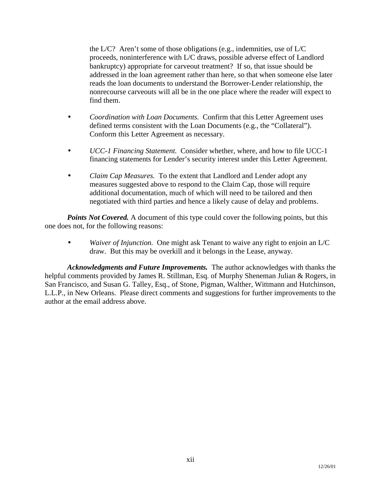the  $L/C$ ? Aren't some of those obligations (e.g., indemnities, use of  $L/C$ proceeds, noninterference with L/C draws, possible adverse effect of Landlord bankruptcy) appropriate for carveout treatment? If so, that issue should be addressed in the loan agreement rather than here, so that when someone else later reads the loan documents to understand the Borrower-Lender relationship, the nonrecourse carveouts will all be in the one place where the reader will expect to find them.

- *Coordination with Loan Documents.* Confirm that this Letter Agreement uses defined terms consistent with the Loan Documents (e.g., the "Collateral"). Conform this Letter Agreement as necessary.
- *UCC-1 Financing Statement.* Consider whether, where, and how to file UCC-1 financing statements for Lender's security interest under this Letter Agreement.
- *Claim Cap Measures.* To the extent that Landlord and Lender adopt any measures suggested above to respond to the Claim Cap, those will require additional documentation, much of which will need to be tailored and then negotiated with third parties and hence a likely cause of delay and problems.

**Points Not Covered.** A document of this type could cover the following points, but this one does not, for the following reasons:

• *Waiver of Injunction.* One might ask Tenant to waive any right to enjoin an L/C draw. But this may be overkill and it belongs in the Lease, anyway.

*Acknowledgments and Future Improvements.* The author acknowledges with thanks the helpful comments provided by James R. Stillman, Esq. of Murphy Sheneman Julian & Rogers, in San Francisco, and Susan G. Talley, Esq., of Stone, Pigman, Walther, Wittmann and Hutchinson, L.L.P., in New Orleans. Please direct comments and suggestions for further improvements to the author at the email address above.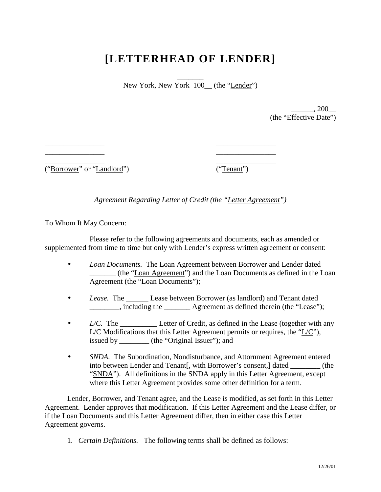## **[LETTERHEAD OF LENDER]**

 $\overline{\phantom{a}}$ New York, New York 100\_(the "Lender")

> $_-, 200$ (the "Effective Date")

\_\_\_\_\_\_\_\_\_\_\_\_\_\_\_\_ ("Borrower" or "Landlord")

 $\overline{\phantom{a}}$  , where  $\overline{\phantom{a}}$  , where  $\overline{\phantom{a}}$ \_\_\_\_\_\_\_\_\_\_\_\_\_\_\_\_

> \_\_\_\_\_\_\_\_\_\_\_\_\_\_\_\_ ("Tenant")

\_\_\_\_\_\_\_\_\_\_\_\_\_\_\_\_ \_\_\_\_\_\_\_\_\_\_\_\_\_\_\_\_

*Agreement Regarding Letter of Credit (the "Letter Agreement")* 

To Whom It May Concern:

Please refer to the following agreements and documents, each as amended or supplemented from time to time but only with Lender's express written agreement or consent:

- *Loan Documents.* The Loan Agreement between Borrower and Lender dated \_\_\_\_\_\_\_ (the "Loan Agreement") and the Loan Documents as defined in the Loan Agreement (the "Loan Documents");
- *Lease.* The Lease between Borrower (as landlord) and Tenant dated \_\_\_\_\_\_\_\_, including the \_\_\_\_\_\_\_ Agreement as defined therein (the "Lease");
- *L/C.* The \_\_\_\_\_\_\_\_\_\_\_\_\_\_ Letter of Credit, as defined in the Lease (together with any L/C Modifications that this Letter Agreement permits or requires, the "L/C"), issued by \_\_\_\_\_\_\_\_\_ (the "Original Issuer"); and
- *SNDA*. The Subordination, Nondisturbance, and Attornment Agreement entered into between Lender and Tenant[, with Borrower's consent,] dated \_\_\_\_\_\_\_\_ (the "SNDA"). All definitions in the SNDA apply in this Letter Agreement, except where this Letter Agreement provides some other definition for a term.

Lender, Borrower, and Tenant agree, and the Lease is modified, as set forth in this Letter Agreement. Lender approves that modification. If this Letter Agreement and the Lease differ, or if the Loan Documents and this Letter Agreement differ, then in either case this Letter Agreement governs.

1. *Certain Definitions.* The following terms shall be defined as follows: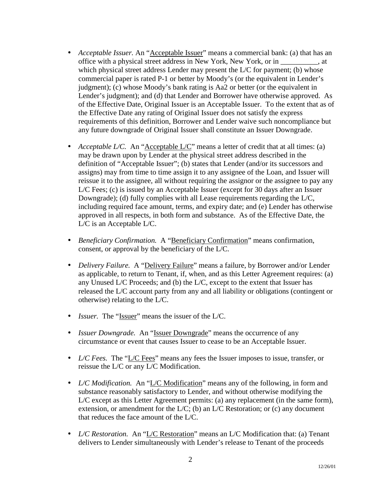- *Acceptable Issuer*. An "*Acceptable Issuer*" means a commercial bank: (a) that has an office with a physical street address in New York, New York, or in \_\_\_\_\_\_\_\_\_\_, at which physical street address Lender may present the L/C for payment; (b) whose commercial paper is rated P-1 or better by Moody's (or the equivalent in Lender's judgment); (c) whose Moody's bank rating is Aa2 or better (or the equivalent in Lender's judgment); and (d) that Lender and Borrower have otherwise approved. As of the Effective Date, Original Issuer is an Acceptable Issuer. To the extent that as of the Effective Date any rating of Original Issuer does not satisfy the express requirements of this definition, Borrower and Lender waive such noncompliance but any future downgrade of Original Issuer shall constitute an Issuer Downgrade.
- *Acceptable L/C.* An "*Acceptable L/C*" means a letter of credit that at all times: (a) may be drawn upon by Lender at the physical street address described in the definition of "Acceptable Issuer"; (b) states that Lender (and/or its successors and assigns) may from time to time assign it to any assignee of the Loan, and Issuer will reissue it to the assignee, all without requiring the assignor or the assignee to pay any L/C Fees; (c) is issued by an Acceptable Issuer (except for 30 days after an Issuer Downgrade); (d) fully complies with all Lease requirements regarding the L/C, including required face amount, terms, and expiry date; and (e) Lender has otherwise approved in all respects, in both form and substance. As of the Effective Date, the L/C is an Acceptable L/C.
- *Beneficiary Confirmation.* A "Beneficiary Confirmation" means confirmation, consent, or approval by the beneficiary of the L/C.
- *Delivery Failure.* A "Delivery Failure" means a failure, by Borrower and/or Lender as applicable, to return to Tenant, if, when, and as this Letter Agreement requires: (a) any Unused L/C Proceeds; and (b) the L/C, except to the extent that Issuer has released the L/C account party from any and all liability or obligations (contingent or otherwise) relating to the L/C.
- *Issuer.* The "Issuer" means the issuer of the L/C.
- *Issuer Downgrade.* An "Issuer Downgrade" means the occurrence of any circumstance or event that causes Issuer to cease to be an Acceptable Issuer.
- *L/C Fees.* The "L/C Fees" means any fees the Issuer imposes to issue, transfer, or reissue the L/C or any L/C Modification.
- *L/C Modification.* An "L/C Modification" means any of the following, in form and substance reasonably satisfactory to Lender, and without otherwise modifying the L/C except as this Letter Agreement permits: (a) any replacement (in the same form), extension, or amendment for the  $L/C$ ; (b) an  $L/C$  Restoration; or (c) any document that reduces the face amount of the L/C.
- *L/C Restoration.* An "L/C Restoration" means an L/C Modification that: (a) Tenant delivers to Lender simultaneously with Lender's release to Tenant of the proceeds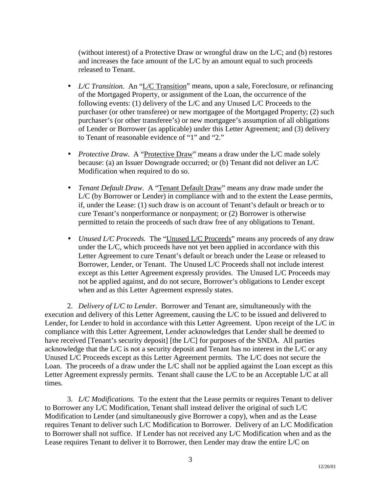(without interest) of a Protective Draw or wrongful draw on the L/C; and (b) restores and increases the face amount of the L/C by an amount equal to such proceeds released to Tenant.

- *L/C Transition.* An "L/C Transition" means, upon a sale, Foreclosure, or refinancing of the Mortgaged Property, or assignment of the Loan, the occurrence of the following events: (1) delivery of the L/C and any Unused L/C Proceeds to the purchaser (or other transferee) or new mortgagee of the Mortgaged Property; (2) such purchaser's (or other transferee's) or new mortgagee's assumption of all obligations of Lender or Borrower (as applicable) under this Letter Agreement; and (3) delivery to Tenant of reasonable evidence of "1" and "2."
- *Protective Draw.* A "Protective Draw" means a draw under the L/C made solely because: (a) an Issuer Downgrade occurred; or (b) Tenant did not deliver an L/C Modification when required to do so.
- *Tenant Default Draw.* A "Tenant Default Draw" means any draw made under the L/C (by Borrower or Lender) in compliance with and to the extent the Lease permits, if, under the Lease: (1) such draw is on account of Tenant's default or breach or to cure Tenant's nonperformance or nonpayment; or (2) Borrower is otherwise permitted to retain the proceeds of such draw free of any obligations to Tenant.
- *Unused L/C Proceeds.* The "Unused L/C Proceeds" means any proceeds of any draw under the L/C, which proceeds have not yet been applied in accordance with this Letter Agreement to cure Tenant's default or breach under the Lease or released to Borrower, Lender, or Tenant. The Unused L/C Proceeds shall not include interest except as this Letter Agreement expressly provides. The Unused L/C Proceeds may not be applied against, and do not secure, Borrower's obligations to Lender except when and as this Letter Agreement expressly states.

2. *Delivery of L/C to Lender.* Borrower and Tenant are, simultaneously with the execution and delivery of this Letter Agreement, causing the L/C to be issued and delivered to Lender, for Lender to hold in accordance with this Letter Agreement. Upon receipt of the L/C in compliance with this Letter Agreement, Lender acknowledges that Lender shall be deemed to have received [Tenant's security deposit] [the L/C] for purposes of the SNDA. All parties acknowledge that the L/C is not a security deposit and Tenant has no interest in the L/C or any Unused L/C Proceeds except as this Letter Agreement permits. The L/C does not secure the Loan. The proceeds of a draw under the L/C shall not be applied against the Loan except as this Letter Agreement expressly permits. Tenant shall cause the L/C to be an Acceptable L/C at all times.

3. *L/C Modifications.* To the extent that the Lease permits or requires Tenant to deliver to Borrower any L/C Modification, Tenant shall instead deliver the original of such L/C Modification to Lender (and simultaneously give Borrower a copy), when and as the Lease requires Tenant to deliver such L/C Modification to Borrower. Delivery of an L/C Modification to Borrower shall not suffice. If Lender has not received any L/C Modification when and as the Lease requires Tenant to deliver it to Borrower, then Lender may draw the entire L/C on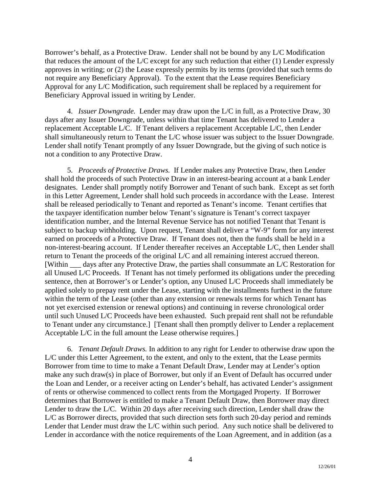Borrower's behalf, as a Protective Draw. Lender shall not be bound by any L/C Modification that reduces the amount of the L/C except for any such reduction that either (1) Lender expressly approves in writing; or (2) the Lease expressly permits by its terms (provided that such terms do not require any Beneficiary Approval). To the extent that the Lease requires Beneficiary Approval for any L/C Modification, such requirement shall be replaced by a requirement for Beneficiary Approval issued in writing by Lender.

4. *Issuer Downgrade.* Lender may draw upon the L/C in full, as a Protective Draw, 30 days after any Issuer Downgrade, unless within that time Tenant has delivered to Lender a replacement Acceptable L/C. If Tenant delivers a replacement Acceptable L/C, then Lender shall simultaneously return to Tenant the L/C whose issuer was subject to the Issuer Downgrade. Lender shall notify Tenant promptly of any Issuer Downgrade, but the giving of such notice is not a condition to any Protective Draw.

5. *Proceeds of Protective Draws.* If Lender makes any Protective Draw, then Lender shall hold the proceeds of such Protective Draw in an interest-bearing account at a bank Lender designates. Lender shall promptly notify Borrower and Tenant of such bank. Except as set forth in this Letter Agreement, Lender shall hold such proceeds in accordance with the Lease. Interest shall be released periodically to Tenant and reported as Tenant's income. Tenant certifies that the taxpayer identification number below Tenant's signature is Tenant's correct taxpayer identification number, and the Internal Revenue Service has not notified Tenant that Tenant is subject to backup withholding. Upon request, Tenant shall deliver a "W-9" form for any interest earned on proceeds of a Protective Draw. If Tenant does not, then the funds shall be held in a non-interest-bearing account. If Lender thereafter receives an Acceptable L/C, then Lender shall return to Tenant the proceeds of the original L/C and all remaining interest accrued thereon. [Within \_\_\_ days after any Protective Draw, the parties shall consummate an L/C Restoration for all Unused L/C Proceeds. If Tenant has not timely performed its obligations under the preceding sentence, then at Borrower's or Lender's option, any Unused L/C Proceeds shall immediately be applied solely to prepay rent under the Lease, starting with the installments furthest in the future within the term of the Lease (other than any extension or renewals terms for which Tenant has not yet exercised extension or renewal options) and continuing in reverse chronological order until such Unused L/C Proceeds have been exhausted. Such prepaid rent shall not be refundable to Tenant under any circumstance.] [Tenant shall then promptly deliver to Lender a replacement Acceptable L/C in the full amount the Lease otherwise requires.]

6. *Tenant Default Draws.* In addition to any right for Lender to otherwise draw upon the L/C under this Letter Agreement, to the extent, and only to the extent, that the Lease permits Borrower from time to time to make a Tenant Default Draw, Lender may at Lender's option make any such draw(s) in place of Borrower, but only if an Event of Default has occurred under the Loan and Lender, or a receiver acting on Lender's behalf, has activated Lender's assignment of rents or otherwise commenced to collect rents from the Mortgaged Property. If Borrower determines that Borrower is entitled to make a Tenant Default Draw, then Borrower may direct Lender to draw the L/C. Within 20 days after receiving such direction, Lender shall draw the L/C as Borrower directs, provided that such direction sets forth such 20-day period and reminds Lender that Lender must draw the L/C within such period. Any such notice shall be delivered to Lender in accordance with the notice requirements of the Loan Agreement, and in addition (as a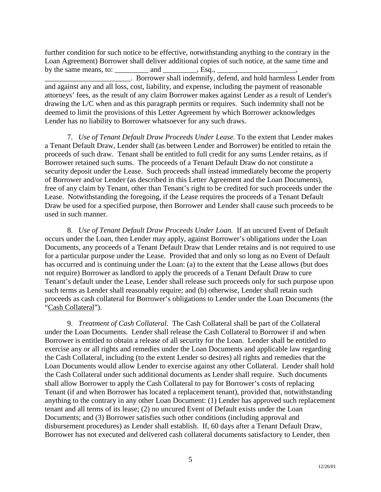further condition for such notice to be effective, notwithstanding anything to the contrary in the Loan Agreement) Borrower shall deliver additional copies of such notice, at the same time and by the same means, to:  $\qquad \qquad$  and  $\qquad \qquad$ , Esq.,  $\qquad \qquad$ 

\_\_\_\_\_\_\_\_\_\_\_\_\_\_\_\_\_\_\_\_\_\_\_. Borrower shall indemnify, defend, and hold harmless Lender from and against any and all loss, cost, liability, and expense, including the payment of reasonable attorneys' fees, as the result of any claim Borrower makes against Lender as a result of Lender's drawing the L/C when and as this paragraph permits or requires. Such indemnity shall not be deemed to limit the provisions of this Letter Agreement by which Borrower acknowledges Lender has no liability to Borrower whatsoever for any such draws.

7. *Use of Tenant Default Draw Proceeds Under Lease.* To the extent that Lender makes a Tenant Default Draw, Lender shall (as between Lender and Borrower) be entitled to retain the proceeds of such draw. Tenant shall be entitled to full credit for any sums Lender retains, as if Borrower retained such sums. The proceeds of a Tenant Default Draw do not constitute a security deposit under the Lease. Such proceeds shall instead immediately become the property of Borrower and/or Lender (as described in this Letter Agreement and the Loan Documents), free of any claim by Tenant, other than Tenant's right to be credited for such proceeds under the Lease. Notwithstanding the foregoing, if the Lease requires the proceeds of a Tenant Default Draw be used for a specified purpose, then Borrower and Lender shall cause such proceeds to be used in such manner.

8. *Use of Tenant Default Draw Proceeds Under Loan.* If an uncured Event of Default occurs under the Loan, then Lender may apply, against Borrower's obligations under the Loan Documents, any proceeds of a Tenant Default Draw that Lender retains and is not required to use for a particular purpose under the Lease. Provided that and only so long as no Event of Default has occurred and is continuing under the Loan: (a) to the extent that the Lease allows (but does not require) Borrower as landlord to apply the proceeds of a Tenant Default Draw to cure Tenant's default under the Lease, Lender shall release such proceeds only for such purpose upon such terms as Lender shall reasonably require; and (b) otherwise, Lender shall retain such proceeds as cash collateral for Borrower's obligations to Lender under the Loan Documents (the "Cash Collateral").

9. *Treatment of Cash Collateral.* The Cash Collateral shall be part of the Collateral under the Loan Documents. Lender shall release the Cash Collateral to Borrower if and when Borrower is entitled to obtain a release of all security for the Loan. Lender shall be entitled to exercise any or all rights and remedies under the Loan Documents and applicable law regarding the Cash Collateral, including (to the extent Lender so desires) all rights and remedies that the Loan Documents would allow Lender to exercise against any other Collateral. Lender shall hold the Cash Collateral under such additional documents as Lender shall require. Such documents shall allow Borrower to apply the Cash Collateral to pay for Borrower's costs of replacing Tenant (if and when Borrower has located a replacement tenant), provided that, notwithstanding anything to the contrary in any other Loan Document: (1) Lender has approved such replacement tenant and all terms of its lease; (2) no uncured Event of Default exists under the Loan Documents; and (3) Borrower satisfies such other conditions (including approval and disbursement procedures) as Lender shall establish. If, 60 days after a Tenant Default Draw, Borrower has not executed and delivered cash collateral documents satisfactory to Lender, then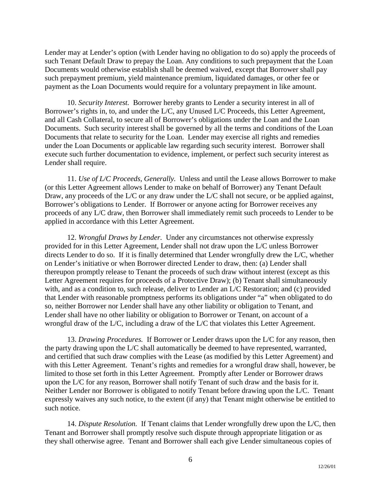Lender may at Lender's option (with Lender having no obligation to do so) apply the proceeds of such Tenant Default Draw to prepay the Loan. Any conditions to such prepayment that the Loan Documents would otherwise establish shall be deemed waived, except that Borrower shall pay such prepayment premium, yield maintenance premium, liquidated damages, or other fee or payment as the Loan Documents would require for a voluntary prepayment in like amount.

10. *Security Interest.* Borrower hereby grants to Lender a security interest in all of Borrower's rights in, to, and under the L/C, any Unused L/C Proceeds, this Letter Agreement, and all Cash Collateral, to secure all of Borrower's obligations under the Loan and the Loan Documents. Such security interest shall be governed by all the terms and conditions of the Loan Documents that relate to security for the Loan. Lender may exercise all rights and remedies under the Loan Documents or applicable law regarding such security interest. Borrower shall execute such further documentation to evidence, implement, or perfect such security interest as Lender shall require.

11. *Use of L/C Proceeds, Generally.* Unless and until the Lease allows Borrower to make (or this Letter Agreement allows Lender to make on behalf of Borrower) any Tenant Default Draw, any proceeds of the L/C or any draw under the L/C shall not secure, or be applied against, Borrower's obligations to Lender. If Borrower or anyone acting for Borrower receives any proceeds of any L/C draw, then Borrower shall immediately remit such proceeds to Lender to be applied in accordance with this Letter Agreement.

12. *Wrongful Draws by Lender.* Under any circumstances not otherwise expressly provided for in this Letter Agreement, Lender shall not draw upon the L/C unless Borrower directs Lender to do so. If it is finally determined that Lender wrongfully drew the L/C, whether on Lender's initiative or when Borrower directed Lender to draw, then: (a) Lender shall thereupon promptly release to Tenant the proceeds of such draw without interest (except as this Letter Agreement requires for proceeds of a Protective Draw); (b) Tenant shall simultaneously with, and as a condition to, such release, deliver to Lender an L/C Restoration; and (c) provided that Lender with reasonable promptness performs its obligations under "a" when obligated to do so, neither Borrower nor Lender shall have any other liability or obligation to Tenant, and Lender shall have no other liability or obligation to Borrower or Tenant, on account of a wrongful draw of the L/C, including a draw of the L/C that violates this Letter Agreement.

13. *Drawing Procedures.* If Borrower or Lender draws upon the L/C for any reason, then the party drawing upon the L/C shall automatically be deemed to have represented, warranted, and certified that such draw complies with the Lease (as modified by this Letter Agreement) and with this Letter Agreement. Tenant's rights and remedies for a wrongful draw shall, however, be limited to those set forth in this Letter Agreement. Promptly after Lender or Borrower draws upon the L/C for any reason, Borrower shall notify Tenant of such draw and the basis for it. Neither Lender nor Borrower is obligated to notify Tenant before drawing upon the L/C. Tenant expressly waives any such notice, to the extent (if any) that Tenant might otherwise be entitled to such notice.

14. *Dispute Resolution.* If Tenant claims that Lender wrongfully drew upon the L/C, then Tenant and Borrower shall promptly resolve such dispute through appropriate litigation or as they shall otherwise agree. Tenant and Borrower shall each give Lender simultaneous copies of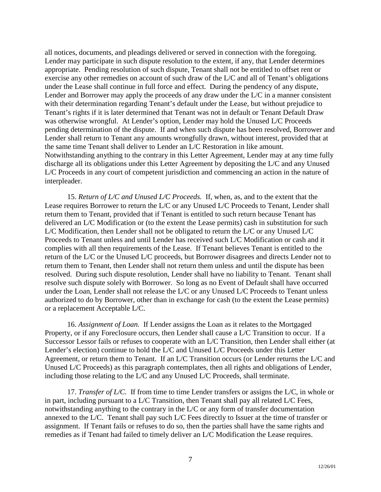all notices, documents, and pleadings delivered or served in connection with the foregoing. Lender may participate in such dispute resolution to the extent, if any, that Lender determines appropriate. Pending resolution of such dispute, Tenant shall not be entitled to offset rent or exercise any other remedies on account of such draw of the L/C and all of Tenant's obligations under the Lease shall continue in full force and effect. During the pendency of any dispute, Lender and Borrower may apply the proceeds of any draw under the  $L/C$  in a manner consistent with their determination regarding Tenant's default under the Lease, but without prejudice to Tenant's rights if it is later determined that Tenant was not in default or Tenant Default Draw was otherwise wrongful. At Lender's option, Lender may hold the Unused L/C Proceeds pending determination of the dispute. If and when such dispute has been resolved, Borrower and Lender shall return to Tenant any amounts wrongfully drawn, without interest, provided that at the same time Tenant shall deliver to Lender an L/C Restoration in like amount. Notwithstanding anything to the contrary in this Letter Agreement, Lender may at any time fully discharge all its obligations under this Letter Agreement by depositing the L/C and any Unused L/C Proceeds in any court of competent jurisdiction and commencing an action in the nature of interpleader.

15. *Return of L/C and Unused L/C Proceeds.* If, when, as, and to the extent that the Lease requires Borrower to return the L/C or any Unused L/C Proceeds to Tenant, Lender shall return them to Tenant, provided that if Tenant is entitled to such return because Tenant has delivered an L/C Modification or (to the extent the Lease permits) cash in substitution for such L/C Modification, then Lender shall not be obligated to return the L/C or any Unused L/C Proceeds to Tenant unless and until Lender has received such L/C Modification or cash and it complies with all then requirements of the Lease. If Tenant believes Tenant is entitled to the return of the L/C or the Unused L/C proceeds, but Borrower disagrees and directs Lender not to return them to Tenant, then Lender shall not return them unless and until the dispute has been resolved. During such dispute resolution, Lender shall have no liability to Tenant. Tenant shall resolve such dispute solely with Borrower. So long as no Event of Default shall have occurred under the Loan, Lender shall not release the L/C or any Unused L/C Proceeds to Tenant unless authorized to do by Borrower, other than in exchange for cash (to the extent the Lease permits) or a replacement Acceptable L/C.

16. *Assignment of Loan.* If Lender assigns the Loan as it relates to the Mortgaged Property, or if any Foreclosure occurs, then Lender shall cause a L/C Transition to occur. If a Successor Lessor fails or refuses to cooperate with an L/C Transition, then Lender shall either (at Lender's election) continue to hold the L/C and Unused L/C Proceeds under this Letter Agreement, or return them to Tenant. If an L/C Transition occurs (or Lender returns the L/C and Unused L/C Proceeds) as this paragraph contemplates, then all rights and obligations of Lender, including those relating to the L/C and any Unused L/C Proceeds, shall terminate.

17. *Transfer of L/C.* If from time to time Lender transfers or assigns the L/C, in whole or in part, including pursuant to a L/C Transition, then Tenant shall pay all related L/C Fees, notwithstanding anything to the contrary in the L/C or any form of transfer documentation annexed to the L/C. Tenant shall pay such L/C Fees directly to Issuer at the time of transfer or assignment. If Tenant fails or refuses to do so, then the parties shall have the same rights and remedies as if Tenant had failed to timely deliver an L/C Modification the Lease requires.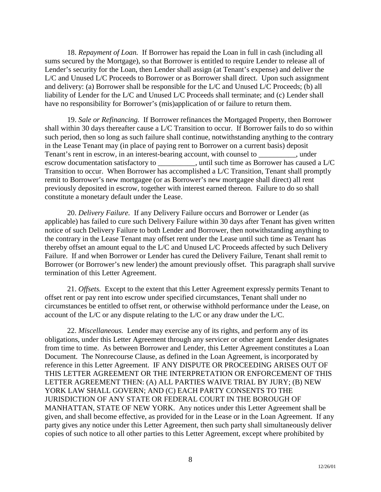18. *Repayment of Loan.* If Borrower has repaid the Loan in full in cash (including all sums secured by the Mortgage), so that Borrower is entitled to require Lender to release all of Lender's security for the Loan, then Lender shall assign (at Tenant's expense) and deliver the L/C and Unused L/C Proceeds to Borrower or as Borrower shall direct. Upon such assignment and delivery: (a) Borrower shall be responsible for the L/C and Unused L/C Proceeds; (b) all liability of Lender for the L/C and Unused L/C Proceeds shall terminate; and (c) Lender shall have no responsibility for Borrower's (mis)application of or failure to return them.

19. *Sale or Refinancing.* If Borrower refinances the Mortgaged Property, then Borrower shall within 30 days thereafter cause a L/C Transition to occur. If Borrower fails to do so within such period, then so long as such failure shall continue, notwithstanding anything to the contrary in the Lease Tenant may (in place of paying rent to Borrower on a current basis) deposit Tenant's rent in escrow, in an interest-bearing account, with counsel to conserved, under escrow documentation satisfactory to \_\_\_\_\_\_\_\_\_, until such time as Borrower has caused a L/C Transition to occur. When Borrower has accomplished a L/C Transition, Tenant shall promptly remit to Borrower's new mortgagee (or as Borrower's new mortgagee shall direct) all rent previously deposited in escrow, together with interest earned thereon. Failure to do so shall constitute a monetary default under the Lease.

20. *Delivery Failure.* If any Delivery Failure occurs and Borrower or Lender (as applicable) has failed to cure such Delivery Failure within 30 days after Tenant has given written notice of such Delivery Failure to both Lender and Borrower, then notwithstanding anything to the contrary in the Lease Tenant may offset rent under the Lease until such time as Tenant has thereby offset an amount equal to the L/C and Unused L/C Proceeds affected by such Delivery Failure. If and when Borrower or Lender has cured the Delivery Failure, Tenant shall remit to Borrower (or Borrower's new lender) the amount previously offset. This paragraph shall survive termination of this Letter Agreement.

21. *Offsets.* Except to the extent that this Letter Agreement expressly permits Tenant to offset rent or pay rent into escrow under specified circumstances, Tenant shall under no circumstances be entitled to offset rent, or otherwise withhold performance under the Lease, on account of the L/C or any dispute relating to the L/C or any draw under the L/C.

22. *Miscellaneous.* Lender may exercise any of its rights, and perform any of its obligations, under this Letter Agreement through any servicer or other agent Lender designates from time to time. As between Borrower and Lender, this Letter Agreement constitutes a Loan Document. The Nonrecourse Clause, as defined in the Loan Agreement, is incorporated by reference in this Letter Agreement. IF ANY DISPUTE OR PROCEEDING ARISES OUT OF THIS LETTER AGREEMENT OR THE INTERPRETATION OR ENFORCEMENT OF THIS LETTER AGREEMENT THEN: (A) ALL PARTIES WAIVE TRIAL BY JURY; (B) NEW YORK LAW SHALL GOVERN; AND (C) EACH PARTY CONSENTS TO THE JURISDICTION OF ANY STATE OR FEDERAL COURT IN THE BOROUGH OF MANHATTAN, STATE OF NEW YORK. Any notices under this Letter Agreement shall be given, and shall become effective, as provided for in the Lease or in the Loan Agreement. If any party gives any notice under this Letter Agreement, then such party shall simultaneously deliver copies of such notice to all other parties to this Letter Agreement, except where prohibited by